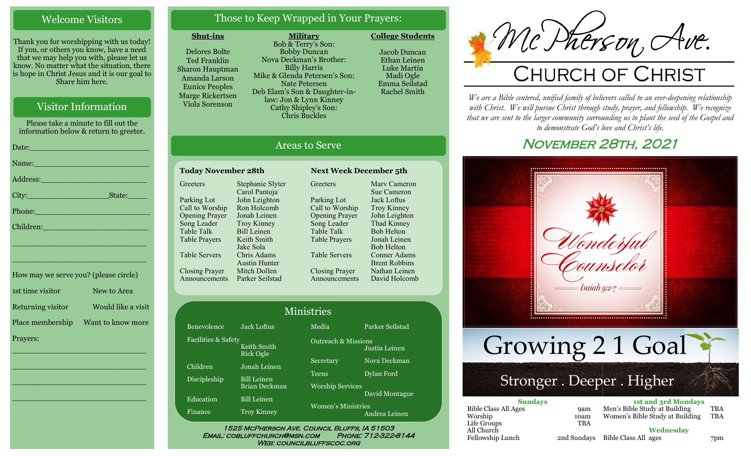### Welcome Visitors

Thank you for worshipping with us today! If you, or others you know, have a need that we may help you with, please let us know. No matter what the situation, there is hope in Christ Jesus and it is our goal to Share him here.

### Visitor Information

Please take a minute to fill out the information below & return to greeter. Date:\_\_\_\_\_\_\_\_\_\_\_\_\_\_\_\_\_\_\_\_\_\_\_\_\_ Name: Address:\_\_\_\_\_\_\_\_\_\_\_\_\_\_\_\_\_\_\_\_\_\_ City:\_\_\_\_\_\_\_\_\_\_\_\_\_\_\_\_\_State:\_\_\_\_

Phone:

Children:

How may we serve you? (please circle) 1st time visitor New to Area Returning visitor Would like a visit Place membership Want to know more Prayers:

\_\_\_\_\_\_\_\_\_\_\_\_\_\_\_\_\_\_\_\_\_\_\_\_\_\_\_\_

 $\overline{\phantom{a}}$  , and the set of the set of the set of the set of the set of the set of the set of the set of the set of the set of the set of the set of the set of the set of the set of the set of the set of the set of the s

 $\overline{\phantom{a}}$  , and the set of the set of the set of the set of the set of the set of the set of the set of the set of the set of the set of the set of the set of the set of the set of the set of the set of the set of the s

\_\_\_\_\_\_\_\_\_\_\_\_\_\_\_\_\_\_\_\_\_\_\_\_\_\_\_\_

\_\_\_\_\_\_\_\_\_\_\_\_\_\_\_\_\_\_\_\_\_\_\_\_\_\_\_\_

\_\_\_\_\_\_\_\_\_\_\_\_\_\_\_\_\_\_\_\_\_\_\_\_\_\_\_\_

## Those to Keep Wrapped in Your Prayers:

### **Shut-ins**

Delores Bolte Ted Franklin Sharon Hauptman Amanda Larson Eunice Peoples Marge Rickertsen Viola Sorenson

**Military** Bob & Terry's Son: Bobby Duncan Nova Deckman's Brother: Billy Harris Mike & Glenda Petersen's Son: Nate Petersen Deb Elam's Son & Daughter-inlaw: Jon & Lynn Kinney Cathy Shipley's Son: Chris Buckles

Jacob Duncan Ethan Leinen Luke Martin Madi Ogle

**College Students** 

Emma Seilstad Rachel Smith

All Church

# Areas to Serve

| <b>Today November 28th</b> |                      |  |  |
|----------------------------|----------------------|--|--|
| Greeters                   | Stephanie Slyter     |  |  |
|                            | Carol Pantoja        |  |  |
| Parking Lot                | John Leighton        |  |  |
| Call to Worship            | Ron Holcomb          |  |  |
| <b>Opening Prayer</b>      | Jonah Leinen         |  |  |
| Song Leader                | <b>Troy Kinney</b>   |  |  |
| <b>Table Talk</b>          | <b>Bill Leinen</b>   |  |  |
| <b>Table Prayers</b>       | Keith Smith          |  |  |
|                            | Jake Sola            |  |  |
| <b>Table Servers</b>       | Chris Adams          |  |  |
|                            | <b>Austin Hunter</b> |  |  |
| <b>Closing Prayer</b>      | Mitch Dollen         |  |  |
| nnouncements               | Parker Seilstad      |  |  |

**Greeters** Parking Lot Call to Worship Opening Prayer Song Leader Table Talk Table Prayers Table Servers Closing Prayer Announcements Marv Cameron Sue Cameron Jack Loftus Troy Kinney John Leighton Thad Kinney Bob Helton Jonah Leinen Bob Helton Conner Adams Brent Robbins Nathan Leinen David Holcomb

**Next Week December 5th** 

|                     |                                 | <b>Ministries</b>              |                 |
|---------------------|---------------------------------|--------------------------------|-----------------|
| Benevolence         | <b>Jack Loftus</b>              | Media                          | Parker Seilstad |
| Facilities & Safety | Keith Smith<br><b>Rick Ogle</b> | <b>Outreach &amp; Missions</b> | Justin Leinen   |
| Children            | Jonah Leinen                    | Secretary                      | Nova Deckman    |
| Discipleship        | <b>Bill Leinen</b>              | <b>Teens</b>                   | Dylan Ford      |
|                     | <b>Brian Deckman</b>            | <b>Worship Services</b>        | David Montague  |
| Education           | <b>Bill Leinen</b>              | <b>Women's Ministries</b>      |                 |
| Finance             | <b>Troy Kinney</b>              |                                | Andrea Leinen   |

## WEB: COUNCILBLUFFSCOC.ORG



*We are a Bible centered, unified family of believers called to an ever-deepening relationship*  with Christ. We will pursue Christ through study, prayer, and fellowship. We recognize *that we are sent to the larger community surrounding us to plant the seed of the Gospel and to demonstrate God's love and Christ's life.*

# November 28th, 2021



| All Church       |             |                      | Wednesday |
|------------------|-------------|----------------------|-----------|
| Fellowship Lunch | 2nd Sundays | Bible Class All ages |           |

#### 7pm